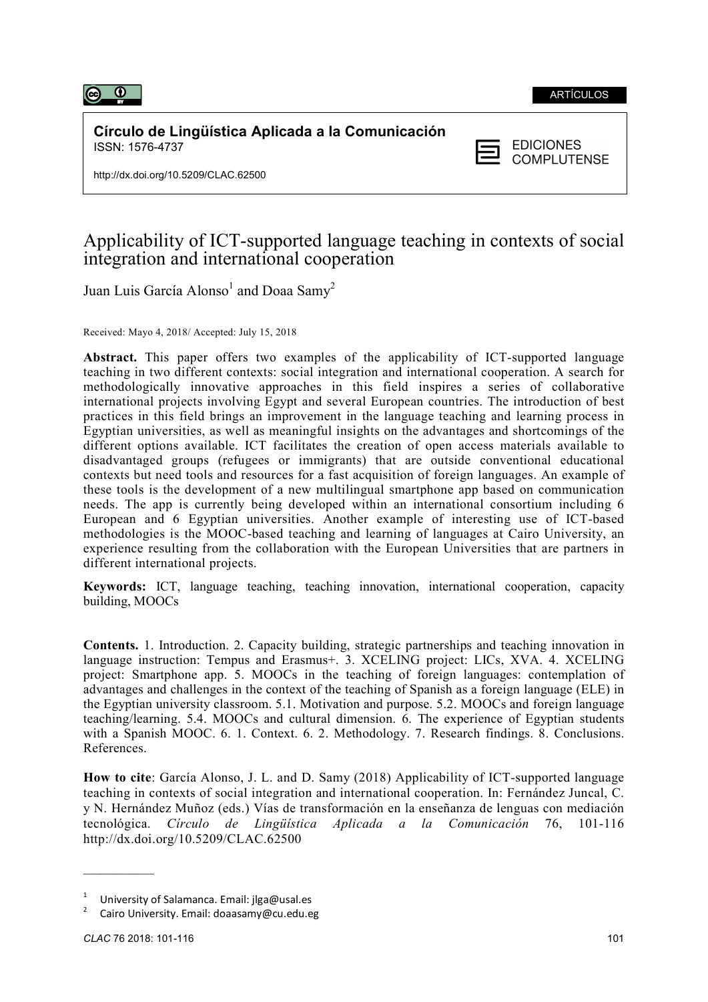

ARTÍCULOS

**Círculo de Lingüística Aplicada a la Comunicación**<br>ISSN: 1576-4737 ISSN: 1576-4737

http://dx.doi.org/10.5209/CLAC.62500

# **COMPLUTENSE**

Applicability of ICT-supported language teaching in contexts of social integration and international cooperation

Juan Luis García Alonso $^{\rm l}$  and Doaa Samy $^{\rm 2}$ 

Received: Mayo 4, 2018/ Accepted: July 15, 2018

Abstract. This paper offers two examples of the applicability of ICT-supported language teaching in two different contexts: social integration and international cooperation. A search for methodologically innovative approaches in this field inspires a series of collaborative international projects involving Egypt and several European countries. The introduction of best practices in this field brings an improvement in the language teaching and learning process in Egyptian universities, as well as meaningful insights on the advantages and shortcomings of the different options available. ICT facilitates the creation of open access materials available to disadvantaged groups (refugees or immigrants) that are outside conventional educational contexts but need tools and resources for a fast acquisition of foreign languages. An example of these tools is the development of a new multilingual smartphone app based on communication needs. The app is currently being developed within an international consortium including 6 European and 6 Egyptian universities. Another example of interesting use of ICT-based methodologies is the MOOC-based teaching and learning of languages at Cairo University, an experience resulting from the collaboration with the European Universities that are partners in different international projects.

Keywords: ICT, language teaching, teaching innovation, international cooperation, capacity building, MOOCs

Contents. 1. Introduction. 2. Capacity building, strategic partnerships and teaching innovation in language instruction: Tempus and Erasmus+. 3. XCELING project: LICs, XVA. 4. XCELING project: Smartphone app. 5. MOOCs in the teaching of foreign languages: contemplation of advantages and challenges in the context of the teaching of Spanish as a foreign language (ELE) in the Egyptian university classroom. 5.1. Motivation and purpose. 5.2. MOOCs and foreign language teaching/learning. 5.4. MOOCs and cultural dimension. 6. The experience of Egyptian students with a Spanish MOOC. 6. 1. Context. 6. 2. Methodology. 7. Research findings. 8. Conclusions. References.

How to cite: García Alonso, J. L. and D. Samy (2018) Applicability of ICT-supported language teaching in contexts of social integration and international cooperation. In: Fernández Juncal, C. y N. Hernández Muñoz (eds.) Vías de transformación en la enseñanza de lenguas con mediación tecnológica. Círculo de Lingüística Aplicada a la Comunicación 76, 101-116 http://dx.doi.org/10.5209/CLAC.62500 \_\_\_\_\_\_\_\_\_\_\_\_

<sup>&</sup>lt;sup>1</sup> University of Salamanca. Email: jlga@usal.es  $2^2$  Coire University Email: degesemy@ey.edu.e

Cairo University. Email: doaasamy@cu.edu.eg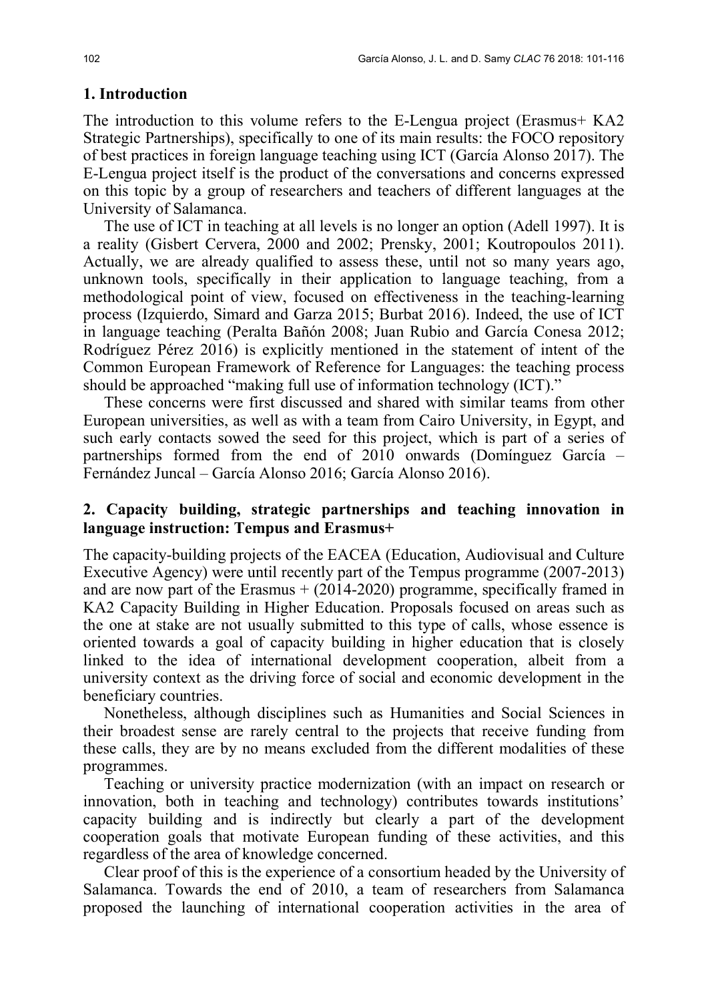#### 1. Introduction

The introduction to this volume refers to the E-Lengua project (Erasmus+ KA2 Strategic Partnerships), specifically to one of its main results: the FOCO repository of best practices in foreign language teaching using ICT (García Alonso 2017). The E-Lengua project itself is the product of the conversations and concerns expressed on this topic by a group of researchers and teachers of different languages at the University of Salamanca.

The use of ICT in teaching at all levels is no longer an option (Adell 1997). It is a reality (Gisbert Cervera, 2000 and 2002; Prensky, 2001; Koutropoulos 2011). Actually, we are already qualified to assess these, until not so many years ago, unknown tools, specifically in their application to language teaching, from a methodological point of view, focused on effectiveness in the teaching-learning process (Izquierdo, Simard and Garza 2015; Burbat 2016). Indeed, the use of ICT in language teaching (Peralta Bañón 2008; Juan Rubio and García Conesa 2012; Rodríguez Pérez 2016) is explicitly mentioned in the statement of intent of the Common European Framework of Reference for Languages: the teaching process should be approached "making full use of information technology (ICT)."

These concerns were first discussed and shared with similar teams from other European universities, as well as with a team from Cairo University, in Egypt, and such early contacts sowed the seed for this project, which is part of a series of partnerships formed from the end of 2010 onwards (Domínguez García – Fernández Juncal – García Alonso 2016; García Alonso 2016).

## 2. Capacity building, strategic partnerships and teaching innovation in language instruction: Tempus and Erasmus+

The capacity-building projects of the EACEA (Education, Audiovisual and Culture Executive Agency) were until recently part of the Tempus programme (2007-2013) and are now part of the Erasmus  $+ (2014-2020)$  programme, specifically framed in KA2 Capacity Building in Higher Education. Proposals focused on areas such as the one at stake are not usually submitted to this type of calls, whose essence is oriented towards a goal of capacity building in higher education that is closely linked to the idea of international development cooperation, albeit from a university context as the driving force of social and economic development in the beneficiary countries.

Nonetheless, although disciplines such as Humanities and Social Sciences in their broadest sense are rarely central to the projects that receive funding from these calls, they are by no means excluded from the different modalities of these programmes.

Teaching or university practice modernization (with an impact on research or innovation, both in teaching and technology) contributes towards institutions' capacity building and is indirectly but clearly a part of the development cooperation goals that motivate European funding of these activities, and this regardless of the area of knowledge concerned.

Clear proof of this is the experience of a consortium headed by the University of Salamanca. Towards the end of 2010, a team of researchers from Salamanca proposed the launching of international cooperation activities in the area of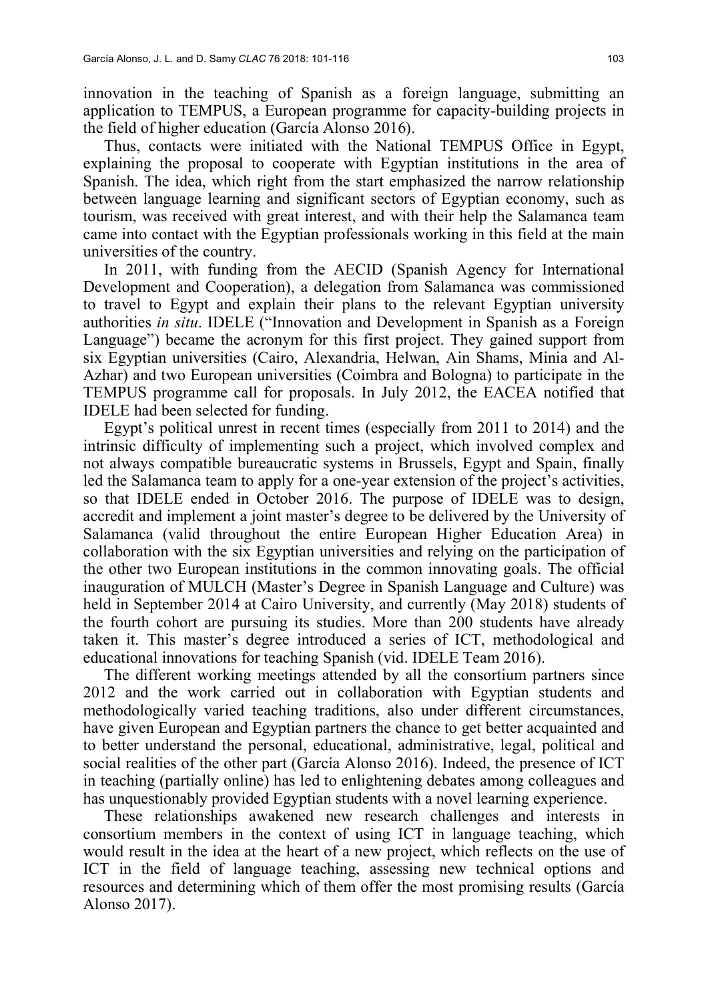innovation in the teaching of Spanish as a foreign language, submitting an application to TEMPUS, a European programme for capacity-building projects in the field of higher education (García Alonso 2016).

Thus, contacts were initiated with the National TEMPUS Office in Egypt, explaining the proposal to cooperate with Egyptian institutions in the area of Spanish. The idea, which right from the start emphasized the narrow relationship between language learning and significant sectors of Egyptian economy, such as tourism, was received with great interest, and with their help the Salamanca team came into contact with the Egyptian professionals working in this field at the main universities of the country.

In 2011, with funding from the AECID (Spanish Agency for International Development and Cooperation), a delegation from Salamanca was commissioned to travel to Egypt and explain their plans to the relevant Egyptian university authorities in situ. IDELE ("Innovation and Development in Spanish as a Foreign Language") became the acronym for this first project. They gained support from six Egyptian universities (Cairo, Alexandria, Helwan, Ain Shams, Minia and Al-Azhar) and two European universities (Coimbra and Bologna) to participate in the TEMPUS programme call for proposals. In July 2012, the EACEA notified that IDELE had been selected for funding.

Egypt's political unrest in recent times (especially from 2011 to 2014) and the intrinsic difficulty of implementing such a project, which involved complex and not always compatible bureaucratic systems in Brussels, Egypt and Spain, finally led the Salamanca team to apply for a one-year extension of the project's activities, so that IDELE ended in October 2016. The purpose of IDELE was to design, accredit and implement a joint master's degree to be delivered by the University of Salamanca (valid throughout the entire European Higher Education Area) in collaboration with the six Egyptian universities and relying on the participation of the other two European institutions in the common innovating goals. The official inauguration of MULCH (Master's Degree in Spanish Language and Culture) was held in September 2014 at Cairo University, and currently (May 2018) students of the fourth cohort are pursuing its studies. More than 200 students have already taken it. This master's degree introduced a series of ICT, methodological and educational innovations for teaching Spanish (vid. IDELE Team 2016).

The different working meetings attended by all the consortium partners since 2012 and the work carried out in collaboration with Egyptian students and methodologically varied teaching traditions, also under different circumstances, have given European and Egyptian partners the chance to get better acquainted and to better understand the personal, educational, administrative, legal, political and social realities of the other part (García Alonso 2016). Indeed, the presence of ICT in teaching (partially online) has led to enlightening debates among colleagues and has unquestionably provided Egyptian students with a novel learning experience.

These relationships awakened new research challenges and interests in consortium members in the context of using ICT in language teaching, which would result in the idea at the heart of a new project, which reflects on the use of ICT in the field of language teaching, assessing new technical options and resources and determining which of them offer the most promising results (García Alonso 2017).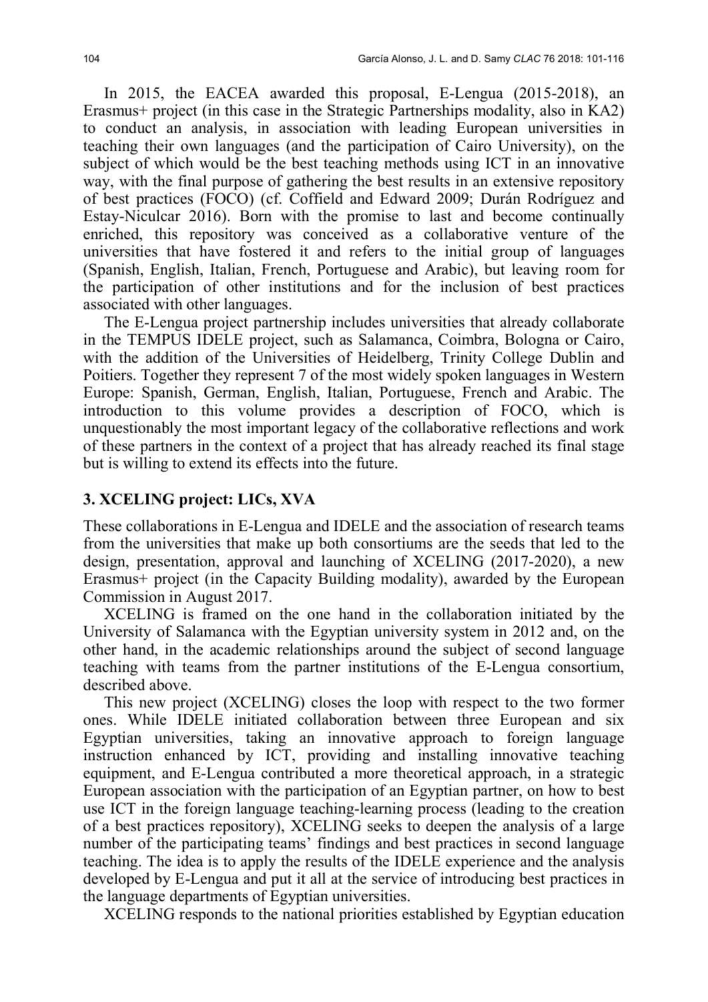In 2015, the EACEA awarded this proposal, E-Lengua (2015-2018), an Erasmus+ project (in this case in the Strategic Partnerships modality, also in KA2) to conduct an analysis, in association with leading European universities in teaching their own languages (and the participation of Cairo University), on the subject of which would be the best teaching methods using ICT in an innovative way, with the final purpose of gathering the best results in an extensive repository of best practices (FOCO) (cf. Coffield and Edward 2009; Durán Rodríguez and Estay-Niculcar 2016). Born with the promise to last and become continually enriched, this repository was conceived as a collaborative venture of the universities that have fostered it and refers to the initial group of languages (Spanish, English, Italian, French, Portuguese and Arabic), but leaving room for the participation of other institutions and for the inclusion of best practices associated with other languages.

The E-Lengua project partnership includes universities that already collaborate in the TEMPUS IDELE project, such as Salamanca, Coimbra, Bologna or Cairo, with the addition of the Universities of Heidelberg, Trinity College Dublin and Poitiers. Together they represent 7 of the most widely spoken languages in Western Europe: Spanish, German, English, Italian, Portuguese, French and Arabic. The introduction to this volume provides a description of FOCO, which is unquestionably the most important legacy of the collaborative reflections and work of these partners in the context of a project that has already reached its final stage but is willing to extend its effects into the future.

## 3. XCELING project: LICs, XVA

These collaborations in E-Lengua and IDELE and the association of research teams from the universities that make up both consortiums are the seeds that led to the design, presentation, approval and launching of XCELING (2017-2020), a new Erasmus+ project (in the Capacity Building modality), awarded by the European Commission in August 2017.

XCELING is framed on the one hand in the collaboration initiated by the University of Salamanca with the Egyptian university system in 2012 and, on the other hand, in the academic relationships around the subject of second language teaching with teams from the partner institutions of the E-Lengua consortium, described above.

This new project (XCELING) closes the loop with respect to the two former ones. While IDELE initiated collaboration between three European and six Egyptian universities, taking an innovative approach to foreign language instruction enhanced by ICT, providing and installing innovative teaching equipment, and E-Lengua contributed a more theoretical approach, in a strategic European association with the participation of an Egyptian partner, on how to best use ICT in the foreign language teaching-learning process (leading to the creation of a best practices repository), XCELING seeks to deepen the analysis of a large number of the participating teams' findings and best practices in second language teaching. The idea is to apply the results of the IDELE experience and the analysis developed by E-Lengua and put it all at the service of introducing best practices in the language departments of Egyptian universities.

XCELING responds to the national priorities established by Egyptian education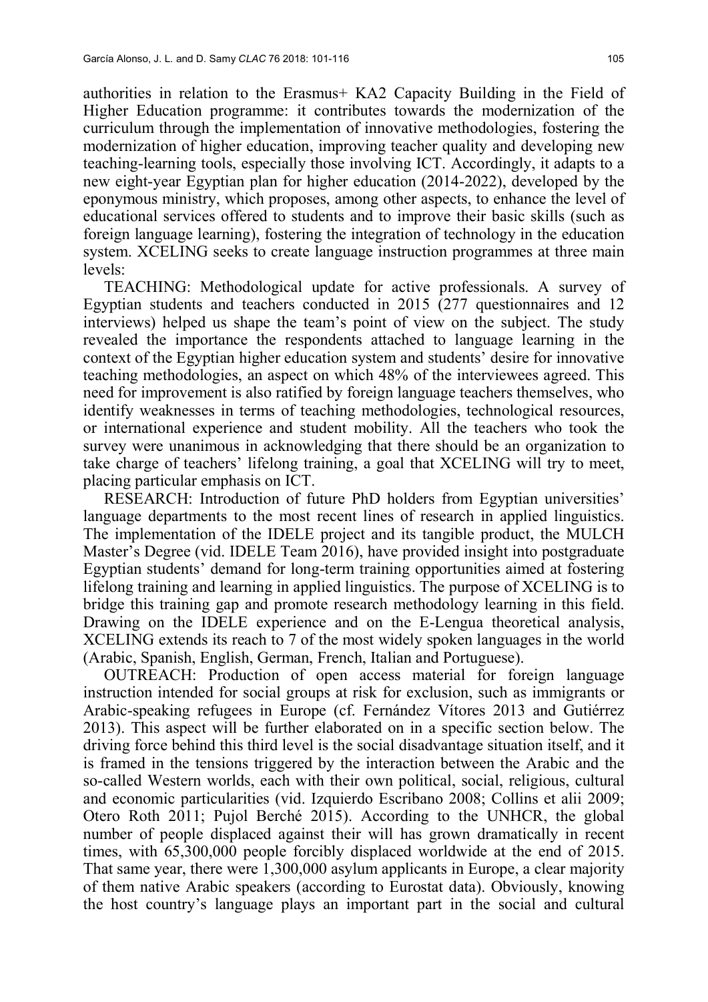authorities in relation to the Erasmus+ KA2 Capacity Building in the Field of Higher Education programme: it contributes towards the modernization of the curriculum through the implementation of innovative methodologies, fostering the modernization of higher education, improving teacher quality and developing new teaching-learning tools, especially those involving ICT. Accordingly, it adapts to a new eight-year Egyptian plan for higher education (2014-2022), developed by the eponymous ministry, which proposes, among other aspects, to enhance the level of educational services offered to students and to improve their basic skills (such as foreign language learning), fostering the integration of technology in the education system. XCELING seeks to create language instruction programmes at three main levels:

TEACHING: Methodological update for active professionals. A survey of Egyptian students and teachers conducted in 2015 (277 questionnaires and 12 interviews) helped us shape the team's point of view on the subject. The study revealed the importance the respondents attached to language learning in the context of the Egyptian higher education system and students' desire for innovative teaching methodologies, an aspect on which 48% of the interviewees agreed. This need for improvement is also ratified by foreign language teachers themselves, who identify weaknesses in terms of teaching methodologies, technological resources, or international experience and student mobility. All the teachers who took the survey were unanimous in acknowledging that there should be an organization to take charge of teachers' lifelong training, a goal that XCELING will try to meet, placing particular emphasis on ICT.

RESEARCH: Introduction of future PhD holders from Egyptian universities' language departments to the most recent lines of research in applied linguistics. The implementation of the IDELE project and its tangible product, the MULCH Master's Degree (vid. IDELE Team 2016), have provided insight into postgraduate Egyptian students' demand for long-term training opportunities aimed at fostering lifelong training and learning in applied linguistics. The purpose of XCELING is to bridge this training gap and promote research methodology learning in this field. Drawing on the IDELE experience and on the E-Lengua theoretical analysis, XCELING extends its reach to 7 of the most widely spoken languages in the world (Arabic, Spanish, English, German, French, Italian and Portuguese).

OUTREACH: Production of open access material for foreign language instruction intended for social groups at risk for exclusion, such as immigrants or Arabic-speaking refugees in Europe (cf. Fernández Vítores 2013 and Gutiérrez 2013). This aspect will be further elaborated on in a specific section below. The driving force behind this third level is the social disadvantage situation itself, and it is framed in the tensions triggered by the interaction between the Arabic and the so-called Western worlds, each with their own political, social, religious, cultural and economic particularities (vid. Izquierdo Escribano 2008; Collins et alii 2009; Otero Roth 2011; Pujol Berché 2015). According to the UNHCR, the global number of people displaced against their will has grown dramatically in recent times, with 65,300,000 people forcibly displaced worldwide at the end of 2015. That same year, there were 1,300,000 asylum applicants in Europe, a clear majority of them native Arabic speakers (according to Eurostat data). Obviously, knowing the host country's language plays an important part in the social and cultural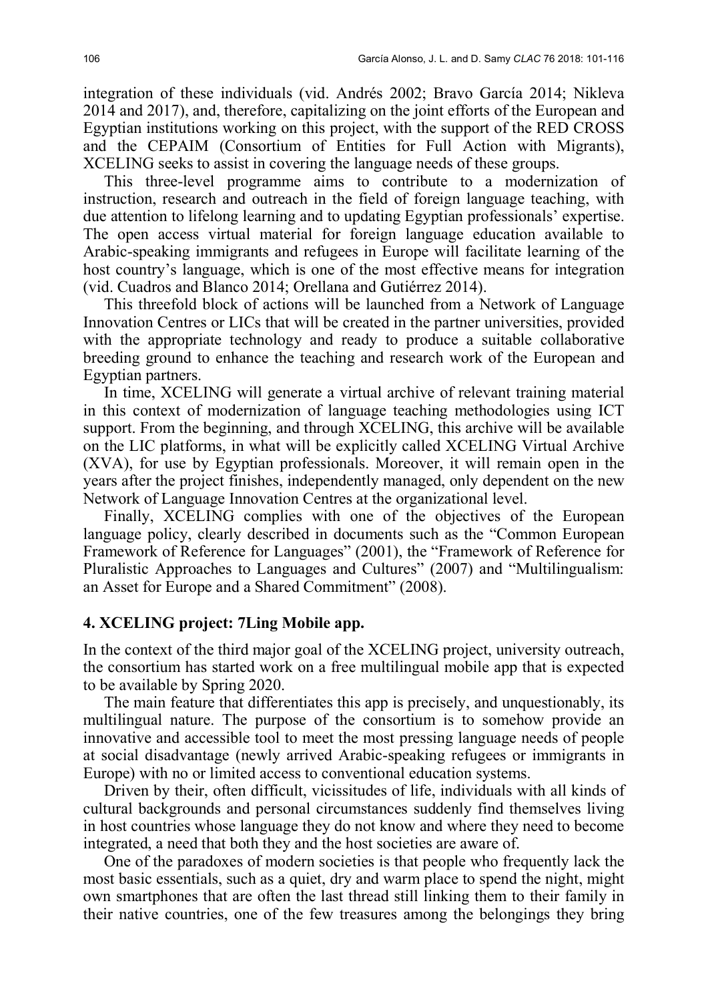integration of these individuals (vid. Andrés 2002; Bravo García 2014; Nikleva 2014 and 2017), and, therefore, capitalizing on the joint efforts of the European and Egyptian institutions working on this project, with the support of the RED CROSS and the CEPAIM (Consortium of Entities for Full Action with Migrants), XCELING seeks to assist in covering the language needs of these groups.

This three-level programme aims to contribute to a modernization of instruction, research and outreach in the field of foreign language teaching, with due attention to lifelong learning and to updating Egyptian professionals' expertise. The open access virtual material for foreign language education available to Arabic-speaking immigrants and refugees in Europe will facilitate learning of the host country's language, which is one of the most effective means for integration (vid. Cuadros and Blanco 2014; Orellana and Gutiérrez 2014).

This threefold block of actions will be launched from a Network of Language Innovation Centres or LICs that will be created in the partner universities, provided with the appropriate technology and ready to produce a suitable collaborative breeding ground to enhance the teaching and research work of the European and Egyptian partners.

In time, XCELING will generate a virtual archive of relevant training material in this context of modernization of language teaching methodologies using ICT support. From the beginning, and through XCELING, this archive will be available on the LIC platforms, in what will be explicitly called XCELING Virtual Archive (XVA), for use by Egyptian professionals. Moreover, it will remain open in the years after the project finishes, independently managed, only dependent on the new Network of Language Innovation Centres at the organizational level.

Finally, XCELING complies with one of the objectives of the European language policy, clearly described in documents such as the "Common European Framework of Reference for Languages" (2001), the "Framework of Reference for Pluralistic Approaches to Languages and Cultures" (2007) and "Multilingualism: an Asset for Europe and a Shared Commitment" (2008).

## 4. XCELING project: 7Ling Mobile app.

In the context of the third major goal of the XCELING project, university outreach, the consortium has started work on a free multilingual mobile app that is expected to be available by Spring 2020.

The main feature that differentiates this app is precisely, and unquestionably, its multilingual nature. The purpose of the consortium is to somehow provide an innovative and accessible tool to meet the most pressing language needs of people at social disadvantage (newly arrived Arabic-speaking refugees or immigrants in Europe) with no or limited access to conventional education systems.

Driven by their, often difficult, vicissitudes of life, individuals with all kinds of cultural backgrounds and personal circumstances suddenly find themselves living in host countries whose language they do not know and where they need to become integrated, a need that both they and the host societies are aware of.

One of the paradoxes of modern societies is that people who frequently lack the most basic essentials, such as a quiet, dry and warm place to spend the night, might own smartphones that are often the last thread still linking them to their family in their native countries, one of the few treasures among the belongings they bring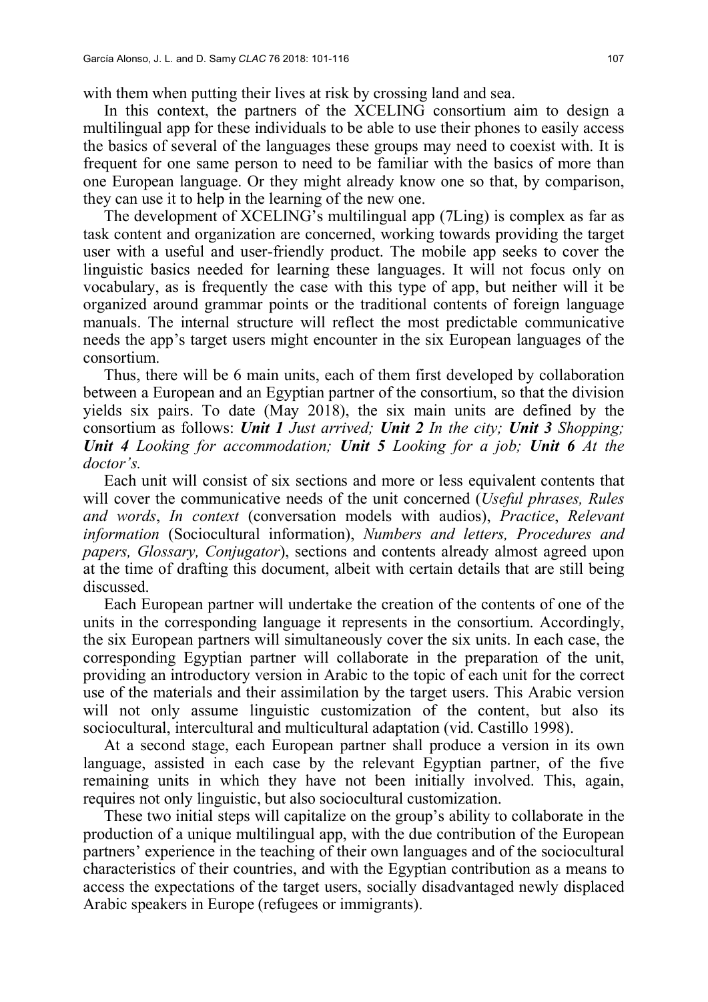with them when putting their lives at risk by crossing land and sea.

In this context, the partners of the XCELING consortium aim to design a multilingual app for these individuals to be able to use their phones to easily access the basics of several of the languages these groups may need to coexist with. It is frequent for one same person to need to be familiar with the basics of more than one European language. Or they might already know one so that, by comparison, they can use it to help in the learning of the new one.

The development of XCELING's multilingual app (7Ling) is complex as far as task content and organization are concerned, working towards providing the target user with a useful and user-friendly product. The mobile app seeks to cover the linguistic basics needed for learning these languages. It will not focus only on vocabulary, as is frequently the case with this type of app, but neither will it be organized around grammar points or the traditional contents of foreign language manuals. The internal structure will reflect the most predictable communicative needs the app's target users might encounter in the six European languages of the consortium.

Thus, there will be 6 main units, each of them first developed by collaboration between a European and an Egyptian partner of the consortium, so that the division yields six pairs. To date (May 2018), the six main units are defined by the consortium as follows: Unit 1 Just arrived; Unit 2 In the city; Unit 3 Shopping; Unit 4 Looking for accommodation; Unit 5 Looking for a job; Unit 6 At the doctor's.

Each unit will consist of six sections and more or less equivalent contents that will cover the communicative needs of the unit concerned (Useful phrases, Rules and words, In context (conversation models with audios), Practice, Relevant information (Sociocultural information), Numbers and letters, Procedures and papers, Glossary, Conjugator), sections and contents already almost agreed upon at the time of drafting this document, albeit with certain details that are still being discussed.

Each European partner will undertake the creation of the contents of one of the units in the corresponding language it represents in the consortium. Accordingly, the six European partners will simultaneously cover the six units. In each case, the corresponding Egyptian partner will collaborate in the preparation of the unit, providing an introductory version in Arabic to the topic of each unit for the correct use of the materials and their assimilation by the target users. This Arabic version will not only assume linguistic customization of the content, but also its sociocultural, intercultural and multicultural adaptation (vid. Castillo 1998).

At a second stage, each European partner shall produce a version in its own language, assisted in each case by the relevant Egyptian partner, of the five remaining units in which they have not been initially involved. This, again, requires not only linguistic, but also sociocultural customization.

These two initial steps will capitalize on the group's ability to collaborate in the production of a unique multilingual app, with the due contribution of the European partners' experience in the teaching of their own languages and of the sociocultural characteristics of their countries, and with the Egyptian contribution as a means to access the expectations of the target users, socially disadvantaged newly displaced Arabic speakers in Europe (refugees or immigrants).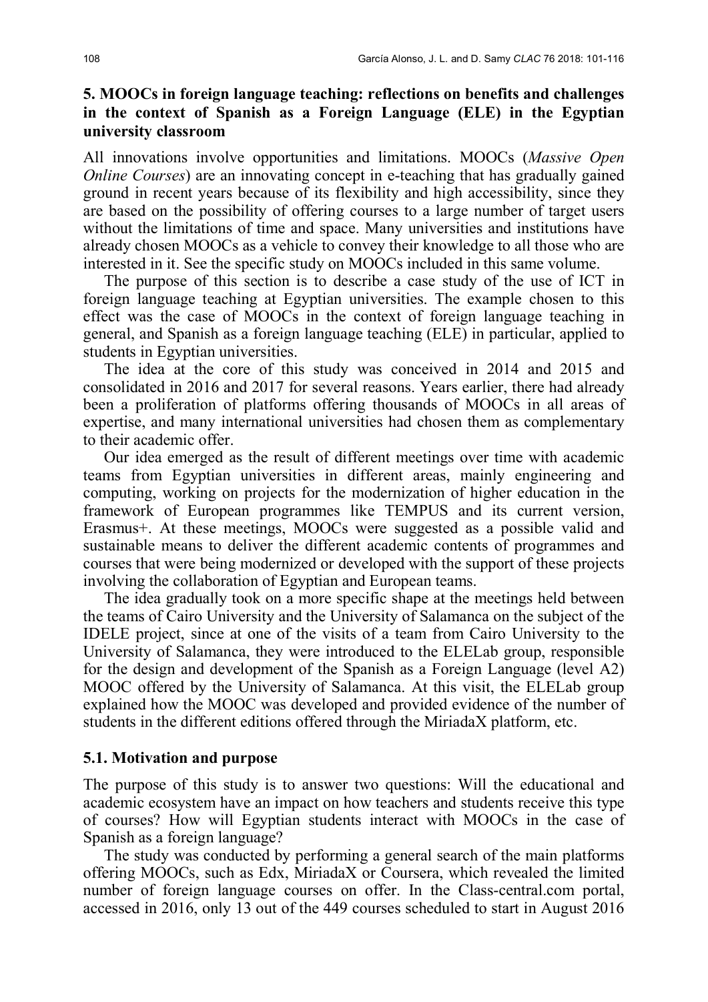# 5. MOOCs in foreign language teaching: reflections on benefits and challenges in the context of Spanish as a Foreign Language (ELE) in the Egyptian university classroom

All innovations involve opportunities and limitations. MOOCs (Massive Open Online Courses) are an innovating concept in e-teaching that has gradually gained ground in recent years because of its flexibility and high accessibility, since they are based on the possibility of offering courses to a large number of target users without the limitations of time and space. Many universities and institutions have already chosen MOOCs as a vehicle to convey their knowledge to all those who are interested in it. See the specific study on MOOCs included in this same volume.

The purpose of this section is to describe a case study of the use of ICT in foreign language teaching at Egyptian universities. The example chosen to this effect was the case of MOOCs in the context of foreign language teaching in general, and Spanish as a foreign language teaching (ELE) in particular, applied to students in Egyptian universities.

The idea at the core of this study was conceived in 2014 and 2015 and consolidated in 2016 and 2017 for several reasons. Years earlier, there had already been a proliferation of platforms offering thousands of MOOCs in all areas of expertise, and many international universities had chosen them as complementary to their academic offer.

Our idea emerged as the result of different meetings over time with academic teams from Egyptian universities in different areas, mainly engineering and computing, working on projects for the modernization of higher education in the framework of European programmes like TEMPUS and its current version, Erasmus+. At these meetings, MOOCs were suggested as a possible valid and sustainable means to deliver the different academic contents of programmes and courses that were being modernized or developed with the support of these projects involving the collaboration of Egyptian and European teams.

The idea gradually took on a more specific shape at the meetings held between the teams of Cairo University and the University of Salamanca on the subject of the IDELE project, since at one of the visits of a team from Cairo University to the University of Salamanca, they were introduced to the ELELab group, responsible for the design and development of the Spanish as a Foreign Language (level A2) MOOC offered by the University of Salamanca. At this visit, the ELELab group explained how the MOOC was developed and provided evidence of the number of students in the different editions offered through the MiriadaX platform, etc.

## 5.1. Motivation and purpose

The purpose of this study is to answer two questions: Will the educational and academic ecosystem have an impact on how teachers and students receive this type of courses? How will Egyptian students interact with MOOCs in the case of Spanish as a foreign language?

The study was conducted by performing a general search of the main platforms offering MOOCs, such as Edx, MiriadaX or Coursera, which revealed the limited number of foreign language courses on offer. In the Class-central.com portal, accessed in 2016, only 13 out of the 449 courses scheduled to start in August 2016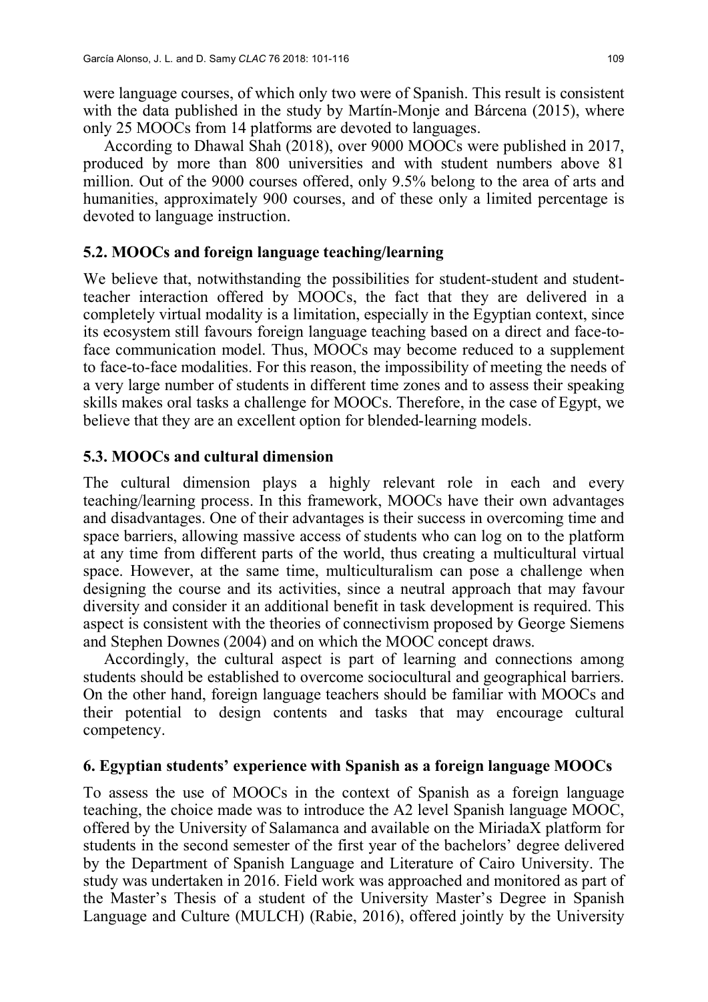were language courses, of which only two were of Spanish. This result is consistent with the data published in the study by Martín-Monje and Bárcena (2015), where only 25 MOOCs from 14 platforms are devoted to languages.

According to Dhawal Shah (2018), over 9000 MOOCs were published in 2017, produced by more than 800 universities and with student numbers above 81 million. Out of the 9000 courses offered, only 9.5% belong to the area of arts and humanities, approximately 900 courses, and of these only a limited percentage is devoted to language instruction.

# 5.2. MOOCs and foreign language teaching/learning

We believe that, notwithstanding the possibilities for student-student and studentteacher interaction offered by MOOCs, the fact that they are delivered in a completely virtual modality is a limitation, especially in the Egyptian context, since its ecosystem still favours foreign language teaching based on a direct and face-toface communication model. Thus, MOOCs may become reduced to a supplement to face-to-face modalities. For this reason, the impossibility of meeting the needs of a very large number of students in different time zones and to assess their speaking skills makes oral tasks a challenge for MOOCs. Therefore, in the case of Egypt, we believe that they are an excellent option for blended-learning models.

# 5.3. MOOCs and cultural dimension

The cultural dimension plays a highly relevant role in each and every teaching/learning process. In this framework, MOOCs have their own advantages and disadvantages. One of their advantages is their success in overcoming time and space barriers, allowing massive access of students who can log on to the platform at any time from different parts of the world, thus creating a multicultural virtual space. However, at the same time, multiculturalism can pose a challenge when designing the course and its activities, since a neutral approach that may favour diversity and consider it an additional benefit in task development is required. This aspect is consistent with the theories of connectivism proposed by George Siemens and Stephen Downes (2004) and on which the MOOC concept draws.

Accordingly, the cultural aspect is part of learning and connections among students should be established to overcome sociocultural and geographical barriers. On the other hand, foreign language teachers should be familiar with MOOCs and their potential to design contents and tasks that may encourage cultural competency.

# 6. Egyptian students' experience with Spanish as a foreign language MOOCs

To assess the use of MOOCs in the context of Spanish as a foreign language teaching, the choice made was to introduce the A2 level Spanish language MOOC, offered by the University of Salamanca and available on the MiriadaX platform for students in the second semester of the first year of the bachelors' degree delivered by the Department of Spanish Language and Literature of Cairo University. The study was undertaken in 2016. Field work was approached and monitored as part of the Master's Thesis of a student of the University Master's Degree in Spanish Language and Culture (MULCH) (Rabie, 2016), offered jointly by the University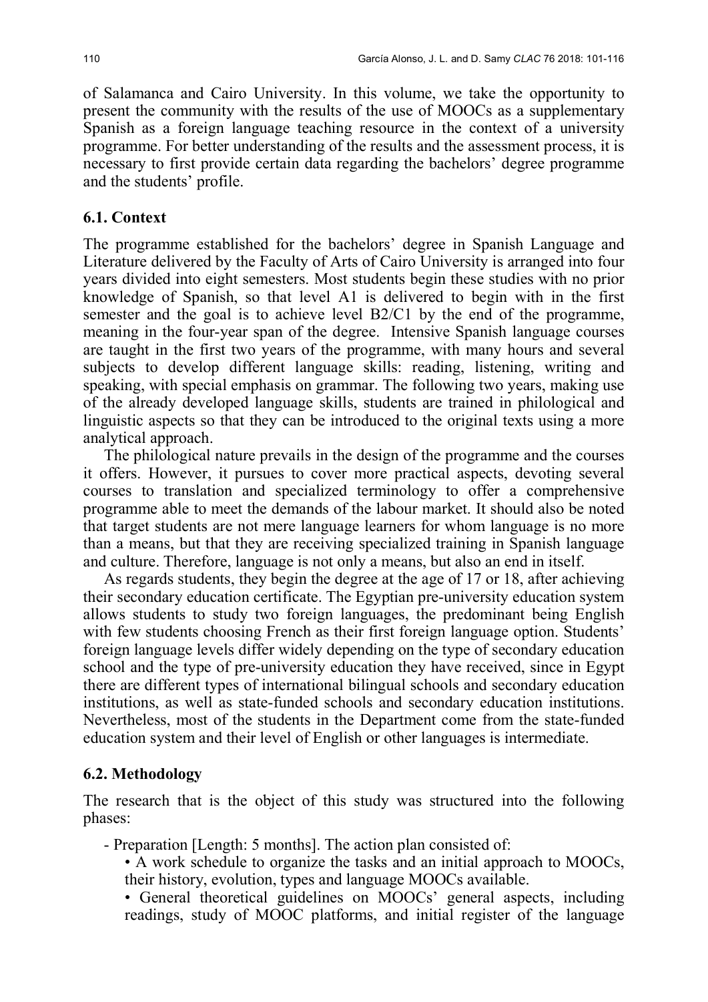of Salamanca and Cairo University. In this volume, we take the opportunity to present the community with the results of the use of MOOCs as a supplementary Spanish as a foreign language teaching resource in the context of a university programme. For better understanding of the results and the assessment process, it is necessary to first provide certain data regarding the bachelors' degree programme and the students' profile.

# 6.1. Context

The programme established for the bachelors' degree in Spanish Language and Literature delivered by the Faculty of Arts of Cairo University is arranged into four years divided into eight semesters. Most students begin these studies with no prior knowledge of Spanish, so that level A1 is delivered to begin with in the first semester and the goal is to achieve level B2/C1 by the end of the programme, meaning in the four-year span of the degree. Intensive Spanish language courses are taught in the first two years of the programme, with many hours and several subjects to develop different language skills: reading, listening, writing and speaking, with special emphasis on grammar. The following two years, making use of the already developed language skills, students are trained in philological and linguistic aspects so that they can be introduced to the original texts using a more analytical approach.

The philological nature prevails in the design of the programme and the courses it offers. However, it pursues to cover more practical aspects, devoting several courses to translation and specialized terminology to offer a comprehensive programme able to meet the demands of the labour market. It should also be noted that target students are not mere language learners for whom language is no more than a means, but that they are receiving specialized training in Spanish language and culture. Therefore, language is not only a means, but also an end in itself.

As regards students, they begin the degree at the age of 17 or 18, after achieving their secondary education certificate. The Egyptian pre-university education system allows students to study two foreign languages, the predominant being English with few students choosing French as their first foreign language option. Students' foreign language levels differ widely depending on the type of secondary education school and the type of pre-university education they have received, since in Egypt there are different types of international bilingual schools and secondary education institutions, as well as state-funded schools and secondary education institutions. Nevertheless, most of the students in the Department come from the state-funded education system and their level of English or other languages is intermediate.

# 6.2. Methodology

The research that is the object of this study was structured into the following phases:

- Preparation [Length: 5 months]. The action plan consisted of:

- A work schedule to organize the tasks and an initial approach to MOOCs, their history, evolution, types and language MOOCs available.
- General theoretical guidelines on MOOCs' general aspects, including readings, study of MOOC platforms, and initial register of the language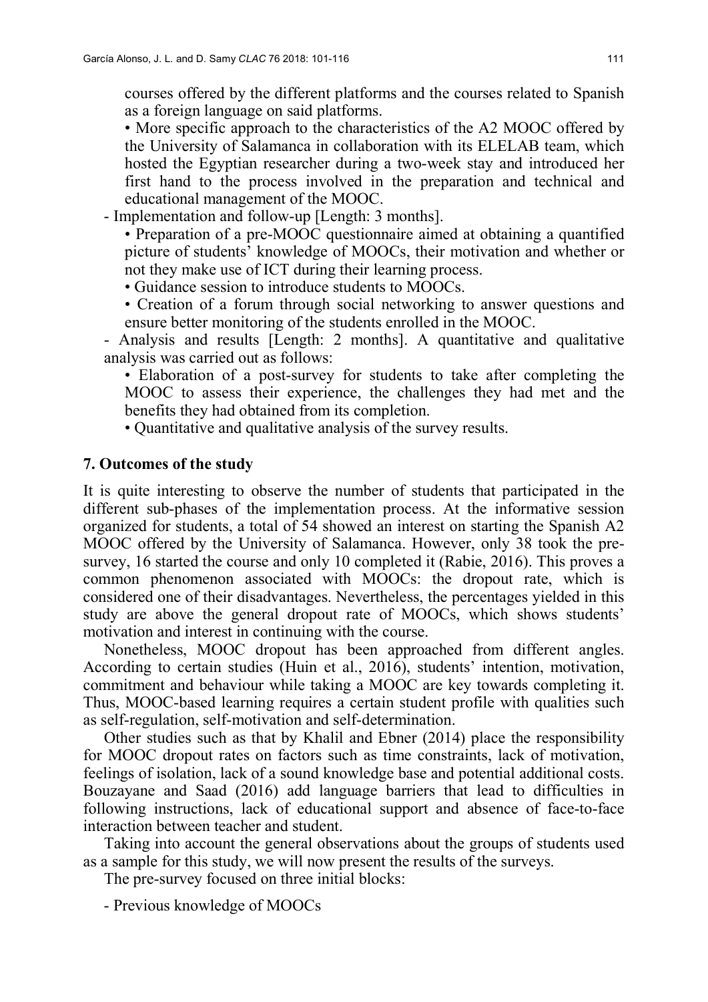courses offered by the different platforms and the courses related to Spanish as a foreign language on said platforms.

• More specific approach to the characteristics of the A2 MOOC offered by the University of Salamanca in collaboration with its ELELAB team, which hosted the Egyptian researcher during a two-week stay and introduced her first hand to the process involved in the preparation and technical and educational management of the MOOC.

- Implementation and follow-up [Length: 3 months].

• Preparation of a pre-MOOC questionnaire aimed at obtaining a quantified picture of students' knowledge of MOOCs, their motivation and whether or not they make use of ICT during their learning process.

• Guidance session to introduce students to MOOCs.

• Creation of a forum through social networking to answer questions and ensure better monitoring of the students enrolled in the MOOC.

- Analysis and results [Length: 2 months]. A quantitative and qualitative analysis was carried out as follows:

• Elaboration of a post-survey for students to take after completing the MOOC to assess their experience, the challenges they had met and the benefits they had obtained from its completion.

• Quantitative and qualitative analysis of the survey results.

### 7. Outcomes of the study

It is quite interesting to observe the number of students that participated in the different sub-phases of the implementation process. At the informative session organized for students, a total of 54 showed an interest on starting the Spanish A2 MOOC offered by the University of Salamanca. However, only 38 took the presurvey, 16 started the course and only 10 completed it (Rabie, 2016). This proves a common phenomenon associated with MOOCs: the dropout rate, which is considered one of their disadvantages. Nevertheless, the percentages yielded in this study are above the general dropout rate of MOOCs, which shows students' motivation and interest in continuing with the course.

Nonetheless, MOOC dropout has been approached from different angles. According to certain studies (Huin et al., 2016), students' intention, motivation, commitment and behaviour while taking a MOOC are key towards completing it. Thus, MOOC-based learning requires a certain student profile with qualities such as self-regulation, self-motivation and self-determination.

Other studies such as that by Khalil and Ebner (2014) place the responsibility for MOOC dropout rates on factors such as time constraints, lack of motivation, feelings of isolation, lack of a sound knowledge base and potential additional costs. Bouzayane and Saad (2016) add language barriers that lead to difficulties in following instructions, lack of educational support and absence of face-to-face interaction between teacher and student.

Taking into account the general observations about the groups of students used as a sample for this study, we will now present the results of the surveys.

The pre-survey focused on three initial blocks:

- Previous knowledge of MOOCs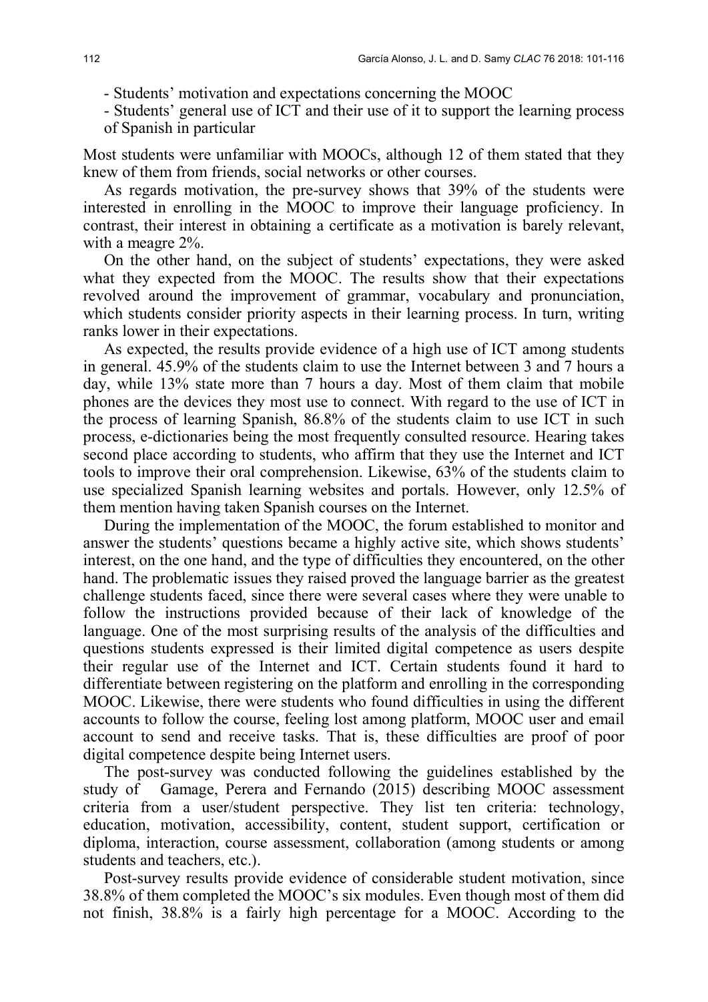- Students' motivation and expectations concerning the MOOC
- Students' general use of ICT and their use of it to support the learning process of Spanish in particular

Most students were unfamiliar with MOOCs, although 12 of them stated that they knew of them from friends, social networks or other courses.

As regards motivation, the pre-survey shows that 39% of the students were interested in enrolling in the MOOC to improve their language proficiency. In contrast, their interest in obtaining a certificate as a motivation is barely relevant, with a meagre 2%.

On the other hand, on the subject of students' expectations, they were asked what they expected from the MOOC. The results show that their expectations revolved around the improvement of grammar, vocabulary and pronunciation, which students consider priority aspects in their learning process. In turn, writing ranks lower in their expectations.

As expected, the results provide evidence of a high use of ICT among students in general. 45.9% of the students claim to use the Internet between 3 and 7 hours a day, while 13% state more than 7 hours a day. Most of them claim that mobile phones are the devices they most use to connect. With regard to the use of ICT in the process of learning Spanish, 86.8% of the students claim to use ICT in such process, e-dictionaries being the most frequently consulted resource. Hearing takes second place according to students, who affirm that they use the Internet and ICT tools to improve their oral comprehension. Likewise, 63% of the students claim to use specialized Spanish learning websites and portals. However, only 12.5% of them mention having taken Spanish courses on the Internet.

During the implementation of the MOOC, the forum established to monitor and answer the students' questions became a highly active site, which shows students' interest, on the one hand, and the type of difficulties they encountered, on the other hand. The problematic issues they raised proved the language barrier as the greatest challenge students faced, since there were several cases where they were unable to follow the instructions provided because of their lack of knowledge of the language. One of the most surprising results of the analysis of the difficulties and questions students expressed is their limited digital competence as users despite their regular use of the Internet and ICT. Certain students found it hard to differentiate between registering on the platform and enrolling in the corresponding MOOC. Likewise, there were students who found difficulties in using the different accounts to follow the course, feeling lost among platform, MOOC user and email account to send and receive tasks. That is, these difficulties are proof of poor digital competence despite being Internet users.

The post-survey was conducted following the guidelines established by the study of Gamage, Perera and Fernando (2015) describing MOOC assessment criteria from a user/student perspective. They list ten criteria: technology, education, motivation, accessibility, content, student support, certification or diploma, interaction, course assessment, collaboration (among students or among students and teachers, etc.).

Post-survey results provide evidence of considerable student motivation, since 38.8% of them completed the MOOC's six modules. Even though most of them did not finish, 38.8% is a fairly high percentage for a MOOC. According to the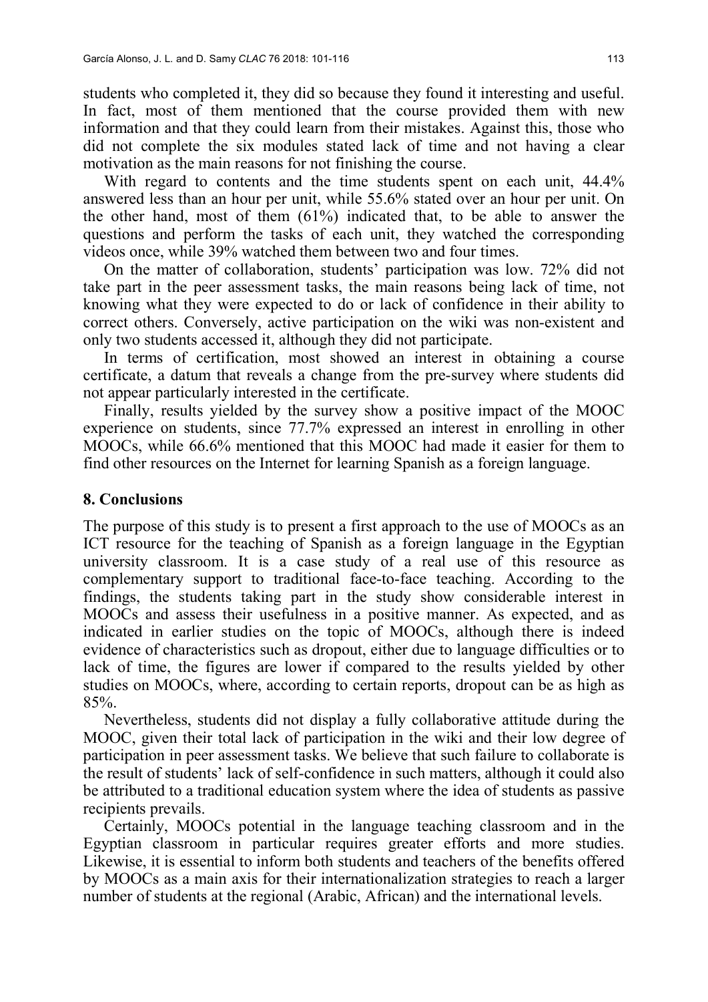students who completed it, they did so because they found it interesting and useful. In fact, most of them mentioned that the course provided them with new information and that they could learn from their mistakes. Against this, those who did not complete the six modules stated lack of time and not having a clear motivation as the main reasons for not finishing the course.

With regard to contents and the time students spent on each unit, 44.4% answered less than an hour per unit, while 55.6% stated over an hour per unit. On the other hand, most of them (61%) indicated that, to be able to answer the questions and perform the tasks of each unit, they watched the corresponding videos once, while 39% watched them between two and four times.

On the matter of collaboration, students' participation was low. 72% did not take part in the peer assessment tasks, the main reasons being lack of time, not knowing what they were expected to do or lack of confidence in their ability to correct others. Conversely, active participation on the wiki was non-existent and only two students accessed it, although they did not participate.

In terms of certification, most showed an interest in obtaining a course certificate, a datum that reveals a change from the pre-survey where students did not appear particularly interested in the certificate.

Finally, results yielded by the survey show a positive impact of the MOOC experience on students, since 77.7% expressed an interest in enrolling in other MOOCs, while 66.6% mentioned that this MOOC had made it easier for them to find other resources on the Internet for learning Spanish as a foreign language.

## 8. Conclusions

The purpose of this study is to present a first approach to the use of MOOCs as an ICT resource for the teaching of Spanish as a foreign language in the Egyptian university classroom. It is a case study of a real use of this resource as complementary support to traditional face-to-face teaching. According to the findings, the students taking part in the study show considerable interest in MOOCs and assess their usefulness in a positive manner. As expected, and as indicated in earlier studies on the topic of MOOCs, although there is indeed evidence of characteristics such as dropout, either due to language difficulties or to lack of time, the figures are lower if compared to the results yielded by other studies on MOOCs, where, according to certain reports, dropout can be as high as 85%.

Nevertheless, students did not display a fully collaborative attitude during the MOOC, given their total lack of participation in the wiki and their low degree of participation in peer assessment tasks. We believe that such failure to collaborate is the result of students' lack of self-confidence in such matters, although it could also be attributed to a traditional education system where the idea of students as passive recipients prevails.

Certainly, MOOCs potential in the language teaching classroom and in the Egyptian classroom in particular requires greater efforts and more studies. Likewise, it is essential to inform both students and teachers of the benefits offered by MOOCs as a main axis for their internationalization strategies to reach a larger number of students at the regional (Arabic, African) and the international levels.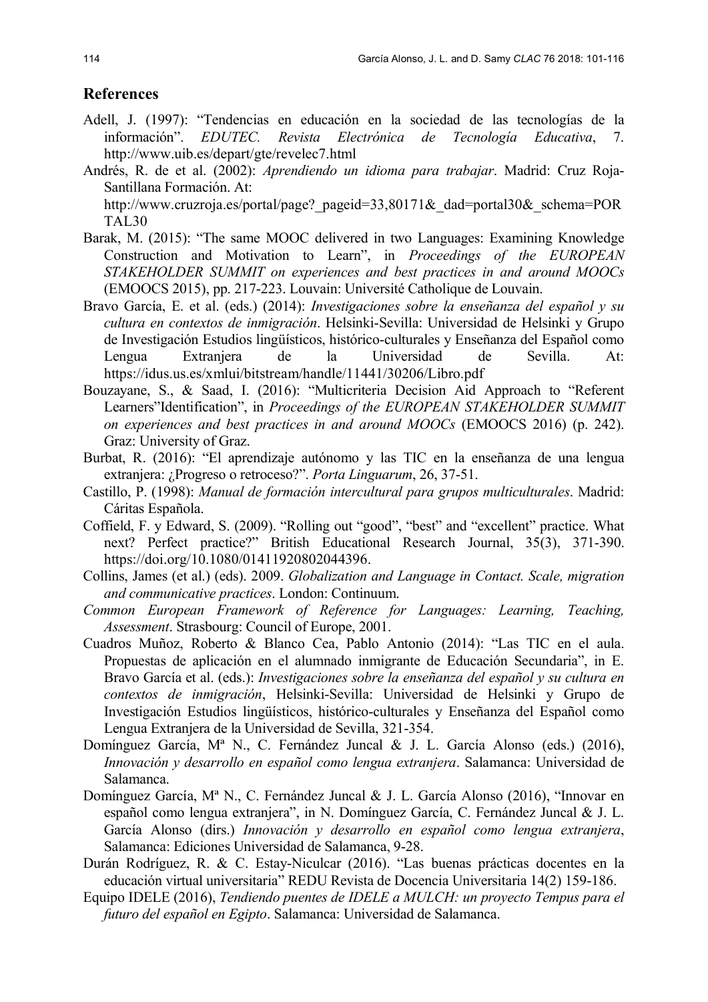#### References

- Adell, J. (1997): "Tendencias en educación en la sociedad de las tecnologías de la información". EDUTEC. Revista Electrónica de Tecnología Educativa, 7. http://www.uib.es/depart/gte/revelec7.html
- Andrés, R. de et al. (2002): Aprendiendo un idioma para trabajar. Madrid: Cruz Roja-Santillana Formación. At: http://www.cruzroja.es/portal/page? pageid=33,80171& dad=portal30& schema=POR TAL30
- Barak, M. (2015): "The same MOOC delivered in two Languages: Examining Knowledge Construction and Motivation to Learn", in Proceedings of the EUROPEAN STAKEHOLDER SUMMIT on experiences and best practices in and around MOOCs (EMOOCS 2015), pp. 217-223. Louvain: Université Catholique de Louvain.
- Bravo García, E. et al. (eds.) (2014): Investigaciones sobre la enseñanza del español y su cultura en contextos de inmigración. Helsinki-Sevilla: Universidad de Helsinki y Grupo de Investigación Estudios lingüísticos, histórico-culturales y Enseñanza del Español como Lengua Extranjera de la Universidad de Sevilla. At: https://idus.us.es/xmlui/bitstream/handle/11441/30206/Libro.pdf
- Bouzayane, S., & Saad, I. (2016): "Multicriteria Decision Aid Approach to "Referent Learners"Identification", in Proceedings of the EUROPEAN STAKEHOLDER SUMMIT on experiences and best practices in and around MOOCs (EMOOCS 2016) (p. 242). Graz: University of Graz.
- Burbat, R. (2016): "El aprendizaje autónomo y las TIC en la enseñanza de una lengua extranjera: ¿Progreso o retroceso?". Porta Linguarum, 26, 37-51.
- Castillo, P. (1998): Manual de formación intercultural para grupos multiculturales. Madrid: Cáritas Española.
- Coffield, F. y Edward, S. (2009). "Rolling out "good", "best" and "excellent" practice. What next? Perfect practice?" British Educational Research Journal, 35(3), 371-390. https://doi.org/10.1080/01411920802044396.
- Collins, James (et al.) (eds). 2009. Globalization and Language in Contact. Scale, migration and communicative practices. London: Continuum.
- Common European Framework of Reference for Languages: Learning, Teaching, Assessment. Strasbourg: Council of Europe, 2001.
- Cuadros Muñoz, Roberto & Blanco Cea, Pablo Antonio (2014): "Las TIC en el aula. Propuestas de aplicación en el alumnado inmigrante de Educación Secundaria", in E. Bravo García et al. (eds.): Investigaciones sobre la enseñanza del español y su cultura en contextos de inmigración, Helsinki-Sevilla: Universidad de Helsinki y Grupo de Investigación Estudios lingüísticos, histórico-culturales y Enseñanza del Español como Lengua Extranjera de la Universidad de Sevilla, 321-354.
- Domínguez García, Mª N., C. Fernández Juncal & J. L. García Alonso (eds.) (2016), Innovación y desarrollo en español como lengua extranjera. Salamanca: Universidad de Salamanca.
- Domínguez García, Mª N., C. Fernández Juncal & J. L. García Alonso (2016), "Innovar en español como lengua extranjera", in N. Domínguez García, C. Fernández Juncal & J. L. García Alonso (dirs.) Innovación y desarrollo en español como lengua extranjera, Salamanca: Ediciones Universidad de Salamanca, 9-28.
- Durán Rodríguez, R. & C. Estay-Niculcar (2016). "Las buenas prácticas docentes en la educación virtual universitaria" REDU Revista de Docencia Universitaria 14(2) 159-186.
- Equipo IDELE (2016), Tendiendo puentes de IDELE a MULCH: un proyecto Tempus para el futuro del español en Egipto. Salamanca: Universidad de Salamanca.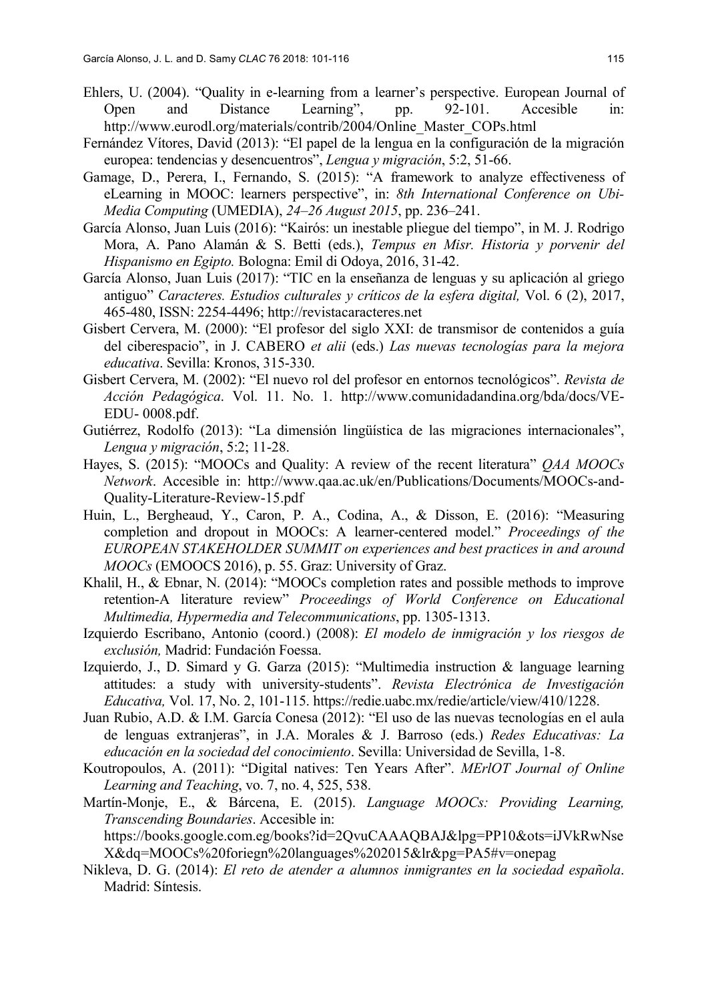- Ehlers, U. (2004). "Quality in e-learning from a learner's perspective. European Journal of Open and Distance Learning", pp. 92-101. Accesible in: http://www.eurodl.org/materials/contrib/2004/Online\_Master\_COPs.html
- Fernández Vítores, David (2013): "El papel de la lengua en la configuración de la migración europea: tendencias y desencuentros", Lengua y migración, 5:2, 51-66.
- Gamage, D., Perera, I., Fernando, S. (2015): "A framework to analyze effectiveness of eLearning in MOOC: learners perspective", in: 8th International Conference on Ubi-Media Computing (UMEDIA), 24–26 August 2015, pp. 236–241.
- García Alonso, Juan Luis (2016): "Kairós: un inestable pliegue del tiempo", in M. J. Rodrigo Mora, A. Pano Alamán & S. Betti (eds.), Tempus en Misr. Historia y porvenir del Hispanismo en Egipto. Bologna: Emil di Odoya, 2016, 31-42.
- García Alonso, Juan Luis (2017): "TIC en la enseñanza de lenguas y su aplicación al griego antiguo" Caracteres. Estudios culturales y críticos de la esfera digital, Vol. 6 (2), 2017, 465-480, ISSN: 2254-4496; http://revistacaracteres.net
- Gisbert Cervera, M. (2000): "El profesor del siglo XXI: de transmisor de contenidos a guía del ciberespacio", in J. CABERO et alii (eds.) Las nuevas tecnologías para la mejora educativa. Sevilla: Kronos, 315-330.
- Gisbert Cervera, M. (2002): "El nuevo rol del profesor en entornos tecnológicos". Revista de Acción Pedagógica. Vol. 11. No. 1. http://www.comunidadandina.org/bda/docs/VE-EDU- 0008.pdf.
- Gutiérrez, Rodolfo (2013): "La dimensión lingüística de las migraciones internacionales", Lengua y migración, 5:2; 11-28.
- Hayes, S. (2015): "MOOCs and Quality: A review of the recent literatura" *QAA MOOCs* Network. Accesible in: http://www.qaa.ac.uk/en/Publications/Documents/MOOCs-and-Quality-Literature-Review-15.pdf
- Huin, L., Bergheaud, Y., Caron, P. A., Codina, A., & Disson, E. (2016): "Measuring completion and dropout in MOOCs: A learner-centered model." Proceedings of the EUROPEAN STAKEHOLDER SUMMIT on experiences and best practices in and around MOOCs (EMOOCS 2016), p. 55. Graz: University of Graz.
- Khalil, H., & Ebnar, N. (2014): "MOOCs completion rates and possible methods to improve retention-A literature review" Proceedings of World Conference on Educational Multimedia, Hypermedia and Telecommunications, pp. 1305-1313.
- Izquierdo Escribano, Antonio (coord.) (2008): El modelo de inmigración y los riesgos de exclusión, Madrid: Fundación Foessa.
- Izquierdo, J., D. Simard y G. Garza (2015): "Multimedia instruction & language learning attitudes: a study with university-students". Revista Electrónica de Investigación Educativa, Vol. 17, No. 2, 101-115. https://redie.uabc.mx/redie/article/view/410/1228.
- Juan Rubio, A.D. & I.M. García Conesa (2012): "El uso de las nuevas tecnologías en el aula de lenguas extranjeras", in J.A. Morales & J. Barroso (eds.) Redes Educativas: La educación en la sociedad del conocimiento. Sevilla: Universidad de Sevilla, 1-8.
- Koutropoulos, A. (2011): "Digital natives: Ten Years After". MErlOT Journal of Online Learning and Teaching, vo. 7, no. 4, 525, 538.
- Martín-Monje, E., & Bárcena, E. (2015). Language MOOCs: Providing Learning, Transcending Boundaries. Accesible in: https://books.google.com.eg/books?id=2QvuCAAAQBAJ&lpg=PP10&ots=iJVkRwNse X&dq=MOOCs%20foriegn%20languages%202015&lr&pg=PA5#v=onepag
- Nikleva, D. G. (2014): El reto de atender a alumnos inmigrantes en la sociedad española. Madrid: Síntesis.